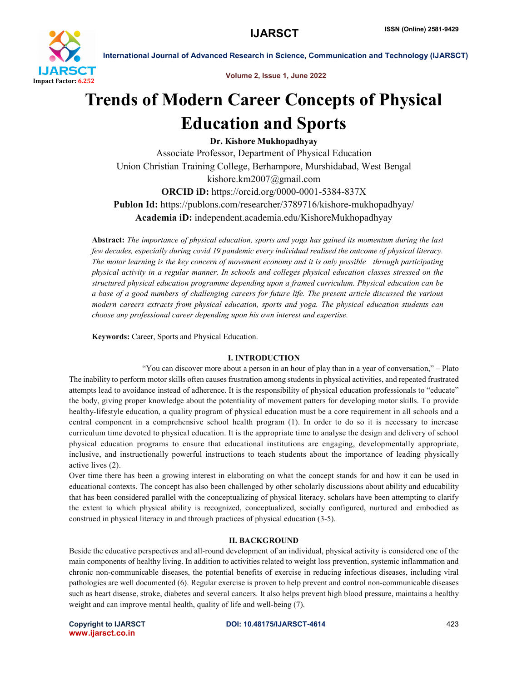

Volume 2, Issue 1, June 2022

# Trends of Modern Career Concepts of Physical Education and Sports

Dr. Kishore Mukhopadhyay

Associate Professor, Department of Physical Education Union Christian Training College, Berhampore, Murshidabad, West Bengal kishore.km2007@gmail.com ORCID iD: https://orcid.org/0000-0001-5384-837X Publon Id: https://publons.com/researcher/3789716/kishore-mukhopadhyay/ Academia iD: independent.academia.edu/KishoreMukhopadhyay

Abstract: *The importance of physical education, sports and yoga has gained its momentum during the last few decades, especially during covid 19 pandemic every individual realised the outcome of physical literacy. The motor learning is the key concern of movement economy and it is only possible through participating physical activity in a regular manner. In schools and colleges physical education classes stressed on the structured physical education programme depending upon a framed curriculum. Physical education can be a base of a good numbers of challenging careers for future life. The present article discussed the various modern careers extracts from physical education, sports and yoga. The physical education students can choose any professional career depending upon his own interest and expertise.*

Keywords: Career, Sports and Physical Education.

# I. INTRODUCTION

"You can discover more about a person in an hour of play than in a year of conversation," – Plato The inability to perform motor skills often causes frustration among students in physical activities, and repeated frustrated attempts lead to avoidance instead of adherence. It is the responsibility of physical education professionals to "educate" the body, giving proper knowledge about the potentiality of movement patters for developing motor skills. To provide healthy-lifestyle education, a quality program of physical education must be a core requirement in all schools and a central component in a comprehensive school health program (1). In order to do so it is necessary to increase curriculum time devoted to physical education. It is the appropriate time to analyse the design and delivery of school physical education programs to ensure that educational institutions are engaging, developmentally appropriate, inclusive, and instructionally powerful instructions to teach students about the importance of leading physically active lives (2).

Over time there has been a growing interest in elaborating on what the concept stands for and how it can be used in educational contexts. The concept has also been challenged by other scholarly discussions about ability and educability that has been considered parallel with the conceptualizing of physical literacy. scholars have been attempting to clarify the extent to which physical ability is recognized, conceptualized, socially configured, nurtured and embodied as construed in physical literacy in and through practices of physical education (3-5).

# II. BACKGROUND

Beside the educative perspectives and all-round development of an individual, physical activity is considered one of the main components of healthy living. In addition to activities related to weight loss prevention, systemic inflammation and chronic non-communicable diseases, the potential benefits of exercise in reducing infectious diseases, including viral pathologies are well documented (6). Regular exercise is proven to help prevent and control non-communicable diseases such as heart disease, stroke, diabetes and several cancers. It also helps prevent high blood pressure, maintains a healthy weight and can improve mental health, quality of life and well-being (7).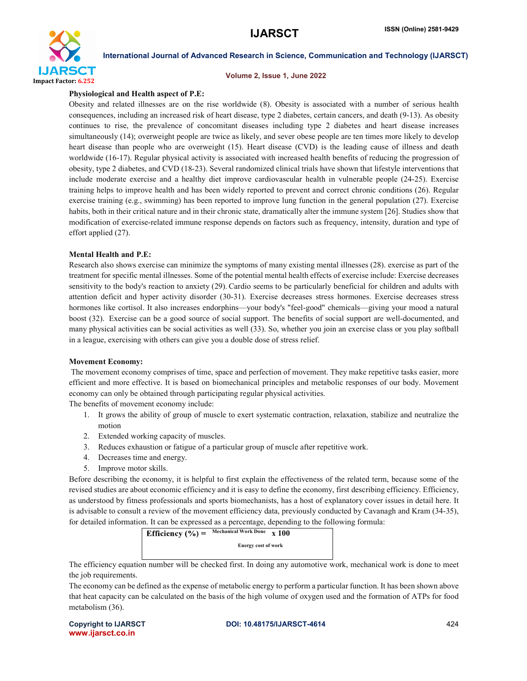

#### Volume 2, Issue 1, June 2022

#### Physiological and Health aspect of P.E:

Obesity and related illnesses are on the rise worldwide (8). Obesity is associated with a number of serious health consequences, including an increased risk of heart disease, type 2 diabetes, certain cancers, and death (9-13). As obesity continues to rise, the prevalence of concomitant diseases including type 2 diabetes and heart disease increases simultaneously (14); overweight people are twice as likely, and sever obese people are ten times more likely to develop heart disease than people who are overweight (15). Heart disease (CVD) is the leading cause of illness and death worldwide (16-17). Regular physical activity is associated with increased health benefits of reducing the progression of obesity, type 2 diabetes, and CVD (18-23). Several randomized clinical trials have shown that lifestyle interventions that include moderate exercise and a healthy diet improve cardiovascular health in vulnerable people (24-25). Exercise training helps to improve health and has been widely reported to prevent and correct chronic conditions (26). Regular exercise training (e.g., swimming) has been reported to improve lung function in the general population (27). Exercise habits, both in their critical nature and in their chronic state, dramatically alter the immune system [26]. Studies show that modification of exercise-related immune response depends on factors such as frequency, intensity, duration and type of effort applied (27).

### Mental Health and P.E:

Research also shows exercise can minimize the symptoms of many existing mental illnesses (28). exercise as part of the treatment for specific mental illnesses. Some of the potential mental health effects of exercise include: Exercise decreases sensitivity to the body's reaction to anxiety (29). Cardio seems to be particularly beneficial for children and adults with attention deficit and hyper activity disorder (30-31). Exercise decreases stress hormones. Exercise decreases stress hormones like cortisol. It also increases endorphins—your body's "feel-good" chemicals—giving your mood a natural boost (32). Exercise can be a good source of social support. The benefits of social support are well-documented, and many physical activities can be social activities as well (33). So, whether you join an exercise class or you play softball in a league, exercising with others can give you a double dose of stress relief.

#### Movement Economy:

The movement economy comprises of time, space and perfection of movement. They make repetitive tasks easier, more efficient and more effective. It is based on biomechanical principles and metabolic responses of our body. Movement economy can only be obtained through participating regular physical activities.

The benefits of movement economy include:

- 1. It grows the ability of group of muscle to exert systematic contraction, relaxation, stabilize and neutralize the motion
- 2. Extended working capacity of muscles.
- 3. Reduces exhaustion or fatigue of a particular group of muscle after repetitive work.
- 4. Decreases time and energy.
- 5. Improve motor skills.

Before describing the economy, it is helpful to first explain the effectiveness of the related term, because some of the revised studies are about economic efficiency and it is easy to define the economy, first describing efficiency. Efficiency, as understood by fitness professionals and sports biomechanists, has a host of explanatory cover issues in detail here. It is advisable to consult a review of the movement efficiency data, previously conducted by Cavanagh and Kram (34-35), for detailed information. It can be expressed as a percentage, depending to the following formula:



The efficiency equation number will be checked first. In doing any automotive work, mechanical work is done to meet the job requirements.

The economy can be defined as the expense of metabolic energy to perform a particular function. It has been shown above that heat capacity can be calculated on the basis of the high volume of oxygen used and the formation of ATPs for food metabolism (36).

www.ijarsct.co.in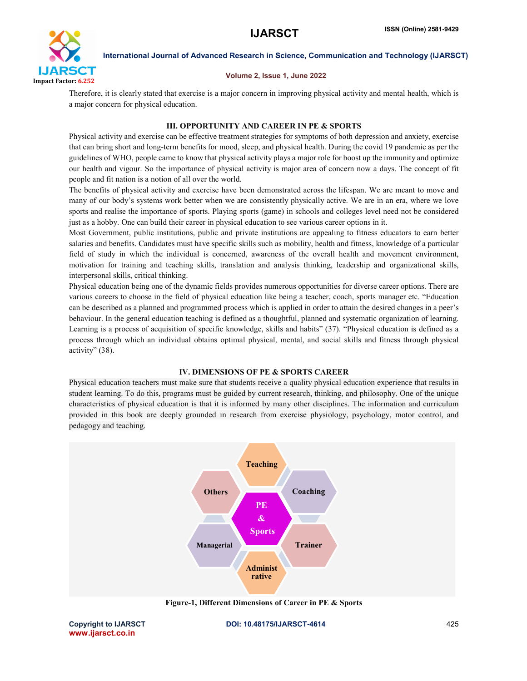

### Volume 2, Issue 1, June 2022

Therefore, it is clearly stated that exercise is a major concern in improving physical activity and mental health, which is a major concern for physical education.

# III. OPPORTUNITY AND CAREER IN PE & SPORTS

Physical activity and exercise can be effective treatment strategies for symptoms of both depression and anxiety, exercise that can bring short and long-term benefits for mood, sleep, and physical health. During the covid 19 pandemic as per the guidelines of WHO, people came to know that physical activity plays a major role for boost up the immunity and optimize our health and vigour. So the importance of physical activity is major area of concern now a days. The concept of fit people and fit nation is a notion of all over the world.

The benefits of physical activity and exercise have been demonstrated across the lifespan. We are meant to move and many of our body's systems work better when we are consistently physically active. We are in an era, where we love sports and realise the importance of sports. Playing sports (game) in schools and colleges level need not be considered just as a hobby. One can build their career in physical education to see various career options in it.

Most Government, public institutions, public and private institutions are appealing to fitness educators to earn better salaries and benefits. Candidates must have specific skills such as mobility, health and fitness, knowledge of a particular field of study in which the individual is concerned, awareness of the overall health and movement environment, motivation for training and teaching skills, translation and analysis thinking, leadership and organizational skills, interpersonal skills, critical thinking.

Physical education being one of the dynamic fields provides numerous opportunities for diverse career options. There are various careers to choose in the field of physical education like being a teacher, coach, sports manager etc. "Education can be described as a planned and programmed process which is applied in order to attain the desired changes in a peer's behaviour. In the general education teaching is defined as a thoughtful, planned and systematic organization of learning. Learning is a process of acquisition of specific knowledge, skills and habits" (37). "Physical education is defined as a process through which an individual obtains optimal physical, mental, and social skills and fitness through physical activity" (38).

### IV. DIMENSIONS OF PE & SPORTS CAREER

Physical education teachers must make sure that students receive a quality physical education experience that results in student learning. To do this, programs must be guided by current research, thinking, and philosophy. One of the unique characteristics of physical education is that it is informed by many other disciplines. The information and curriculum provided in this book are deeply grounded in research from exercise physiology, psychology, motor control, and pedagogy and teaching.



Figure-1, Different Dimensions of Career in PE & Sports

www.ijarsct.co.in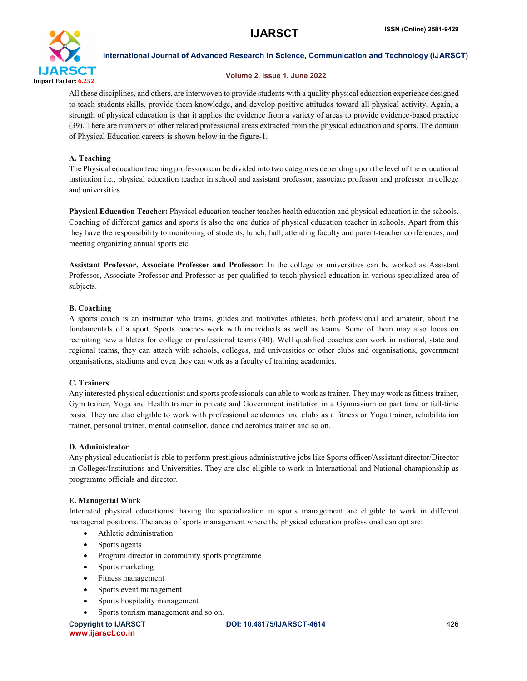

# Volume 2, Issue 1, June 2022

All these disciplines, and others, are interwoven to provide students with a quality physical education experience designed to teach students skills, provide them knowledge, and develop positive attitudes toward all physical activity. Again, a strength of physical education is that it applies the evidence from a variety of areas to provide evidence-based practice (39). There are numbers of other related professional areas extracted from the physical education and sports. The domain of Physical Education careers is shown below in the figure-1.

# A. Teaching

The Physical education teaching profession can be divided into two categories depending upon the level of the educational institution i.e., physical education teacher in school and assistant professor, associate professor and professor in college and universities.

Physical Education Teacher: Physical education teacher teaches health education and physical education in the schools. Coaching of different games and sports is also the one duties of physical education teacher in schools. Apart from this they have the responsibility to monitoring of students, lunch, hall, attending faculty and parent-teacher conferences, and meeting organizing annual sports etc.

Assistant Professor, Associate Professor and Professor: In the college or universities can be worked as Assistant Professor, Associate Professor and Professor as per qualified to teach physical education in various specialized area of subjects.

# B. Coaching

A sports coach is an instructor who trains, guides and motivates athletes, both professional and amateur, about the fundamentals of a sport. Sports coaches work with individuals as well as teams. Some of them may also focus on recruiting new athletes for college or professional teams (40). Well qualified coaches can work in national, state and regional teams, they can attach with schools, colleges, and universities or other clubs and organisations, government organisations, stadiums and even they can work as a faculty of training academies.

# C. Trainers

Any interested physical educationist and sports professionals can able to work as trainer. They may work as fitness trainer, Gym trainer, Yoga and Health trainer in private and Government institution in a Gymnasium on part time or full-time basis. They are also eligible to work with professional academics and clubs as a fitness or Yoga trainer, rehabilitation trainer, personal trainer, mental counsellor, dance and aerobics trainer and so on.

### D. Administrator

Any physical educationist is able to perform prestigious administrative jobs like Sports officer/Assistant director/Director in Colleges/Institutions and Universities. They are also eligible to work in International and National championship as programme officials and director.

### E. Managerial Work

Interested physical educationist having the specialization in sports management are eligible to work in different managerial positions. The areas of sports management where the physical education professional can opt are:

- Athletic administration
- Sports agents
- Program director in community sports programme
- Sports marketing
- Fitness management
- Sports event management
- Sports hospitality management
- Sports tourism management and so on.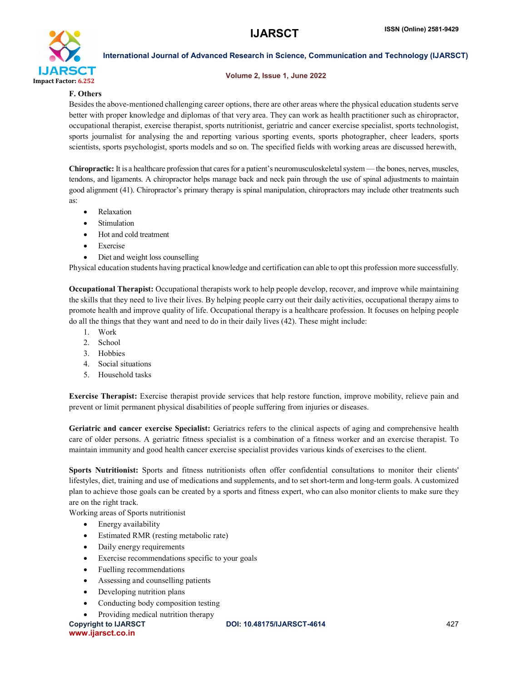

#### Volume 2, Issue 1, June 2022

# F. Others

Besides the above-mentioned challenging career options, there are other areas where the physical education students serve better with proper knowledge and diplomas of that very area. They can work as health practitioner such as chiropractor, occupational therapist, exercise therapist, sports nutritionist, geriatric and cancer exercise specialist, sports technologist, sports journalist for analysing the and reporting various sporting events, sports photographer, cheer leaders, sports scientists, sports psychologist, sports models and so on. The specified fields with working areas are discussed herewith,

Chiropractic: It is a healthcare profession that cares for a patient's neuromusculoskeletal system —the bones, nerves, muscles, tendons, and ligaments. A chiropractor helps manage back and neck pain through the use of spinal adjustments to maintain good alignment (41). Chiropractor's primary therapy is spinal manipulation, chiropractors may include other treatments such as:

- Relaxation
- Stimulation
- Hot and cold treatment
- Exercise
- Diet and weight loss counselling

Physical education students having practical knowledge and certification can able to opt this profession more successfully.

Occupational Therapist: Occupational therapists work to help people develop, recover, and improve while maintaining the skills that they need to live their lives. By helping people carry out their daily activities, occupational therapy aims to promote health and improve quality of life. Occupational therapy is a healthcare profession. It focuses on helping people do all the things that they want and need to do in their daily lives (42). These might include:

- 1. Work
- 2. School
- 3. Hobbies
- 4. Social situations
- 5. Household tasks

Exercise Therapist: Exercise therapist provide services that help restore function, improve mobility, relieve pain and prevent or limit permanent physical disabilities of people suffering from injuries or diseases.

Geriatric and cancer exercise Specialist: Geriatrics refers to the clinical aspects of aging and comprehensive health care of older persons. A geriatric fitness specialist is a combination of a fitness worker and an exercise therapist. To maintain immunity and good health cancer exercise specialist provides various kinds of exercises to the client.

Sports Nutritionist: Sports and fitness nutritionists often offer confidential consultations to monitor their clients' lifestyles, diet, training and use of medications and supplements, and to set short-term and long-term goals. A customized plan to achieve those goals can be created by a sports and fitness expert, who can also monitor clients to make sure they are on the right track.

Working areas of Sports nutritionist

- Energy availability
- Estimated RMR (resting metabolic rate)
- Daily energy requirements
- Exercise recommendations specific to your goals
- Fuelling recommendations
- Assessing and counselling patients
- Developing nutrition plans
- Conducting body composition testing
- Providing medical nutrition therapy

www.ijarsct.co.in

Copyright to IJARSCT **DOI: 10.48175/IJARSCT-4614** 427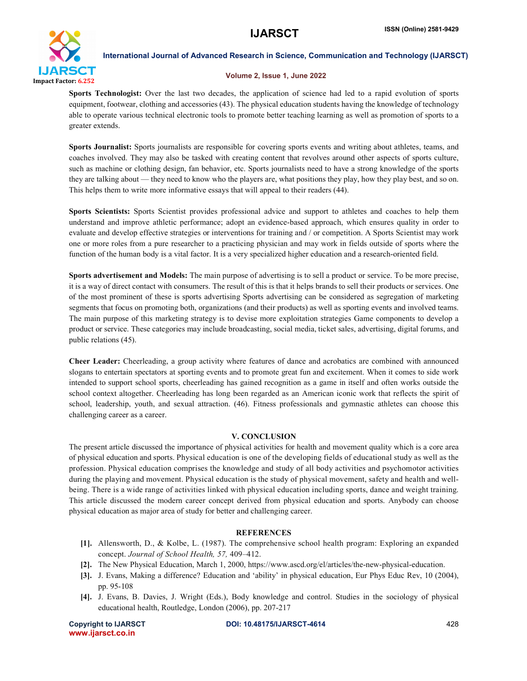

### Volume 2, Issue 1, June 2022

Sports Technologist: Over the last two decades, the application of science had led to a rapid evolution of sports equipment, footwear, clothing and accessories (43). The physical education students having the knowledge of technology able to operate various technical electronic tools to promote better teaching learning as well as promotion of sports to a greater extends.

Sports Journalist: Sports journalists are responsible for covering sports events and writing about athletes, teams, and coaches involved. They may also be tasked with creating content that revolves around other aspects of sports culture, such as machine or clothing design, fan behavior, etc. Sports journalists need to have a strong knowledge of the sports they are talking about — they need to know who the players are, what positions they play, how they play best, and so on. This helps them to write more informative essays that will appeal to their readers (44).

Sports Scientists: Sports Scientist provides professional advice and support to athletes and coaches to help them understand and improve athletic performance; adopt an evidence-based approach, which ensures quality in order to evaluate and develop effective strategies or interventions for training and / or competition. A Sports Scientist may work one or more roles from a pure researcher to a practicing physician and may work in fields outside of sports where the function of the human body is a vital factor. It is a very specialized higher education and a research-oriented field.

Sports advertisement and Models: The main purpose of advertising is to sell a product or service. To be more precise, it is a way of direct contact with consumers. The result of this is that it helps brands to sell their products or services. One of the most prominent of these is sports advertising Sports advertising can be considered as segregation of marketing segments that focus on promoting both, organizations (and their products) as well as sporting events and involved teams. The main purpose of this marketing strategy is to devise more exploitation strategies Game components to develop a product or service. These categories may include broadcasting, social media, ticket sales, advertising, digital forums, and public relations (45).

Cheer Leader: Cheerleading, a group activity where features of dance and acrobatics are combined with announced slogans to entertain spectators at sporting events and to promote great fun and excitement. When it comes to side work intended to support school sports, cheerleading has gained recognition as a game in itself and often works outside the school context altogether. Cheerleading has long been regarded as an American iconic work that reflects the spirit of school, leadership, youth, and sexual attraction. (46). Fitness professionals and gymnastic athletes can choose this challenging career as a career.

### V. CONCLUSION

The present article discussed the importance of physical activities for health and movement quality which is a core area of physical education and sports. Physical education is one of the developing fields of educational study as well as the profession. Physical education comprises the knowledge and study of all body activities and psychomotor activities during the playing and movement. Physical education is the study of physical movement, safety and health and wellbeing. There is a wide range of activities linked with physical education including sports, dance and weight training. This article discussed the modern career concept derived from physical education and sports. Anybody can choose physical education as major area of study for better and challenging career.

# **REFERENCES**

- [1]. Allensworth, D., & Kolbe, L. (1987). The comprehensive school health program: Exploring an expanded concept. *Journal of School Health, 57,* 409–412.
- [2]. The New Physical Education, March 1, 2000, https://www.ascd.org/el/articles/the-new-physical-education.
- [3]. J. Evans, Making a difference? Education and 'ability' in physical education, Eur Phys Educ Rev, 10 (2004), pp. 95-108
- [4]. J. Evans, B. Davies, J. Wright (Eds.), Body knowledge and control. Studies in the sociology of physical educational health, Routledge, London (2006), pp. 207-217

www.ijarsct.co.in

Copyright to IJARSCT **DOI: 10.48175/IJARSCT-4614** 428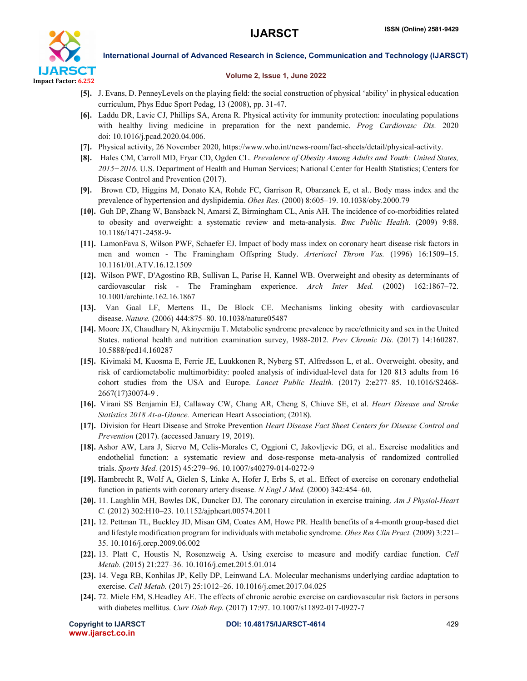

#### Volume 2, Issue 1, June 2022

- [5]. J. Evans, D. PenneyLevels on the playing field: the social construction of physical 'ability' in physical education curriculum, Phys Educ Sport Pedag, 13 (2008), pp. 31-47.
- [6]. Laddu DR, Lavie CJ, Phillips SA, Arena R. Physical activity for immunity protection: inoculating populations with healthy living medicine in preparation for the next pandemic. *Prog Cardiovasc Dis.* 2020 doi: 10.1016/j.pcad.2020.04.006.
- [7]. Physical activity, 26 November 2020, https://www.who.int/news-room/fact-sheets/detail/physical-activity.
- [8]. Hales CM, Carroll MD, Fryar CD, Ogden CL. *Prevalence of Obesity Among Adults and Youth: United States,*  2015−2016. U.S. Department of Health and Human Services; National Center for Health Statistics; Centers for Disease Control and Prevention (2017).
- [9]. Brown CD, Higgins M, Donato KA, Rohde FC, Garrison R, Obarzanek E, et al.. Body mass index and the prevalence of hypertension and dyslipidemia. *Obes Res.* (2000) 8:605–19. 10.1038/oby.2000.79
- [10]. Guh DP, Zhang W, Bansback N, Amarsi Z, Birmingham CL, Anis AH. The incidence of co-morbidities related to obesity and overweight: a systematic review and meta-analysis. *Bmc Public Health.* (2009) 9:88. 10.1186/1471-2458-9-
- [11]. LamonFava S, Wilson PWF, Schaefer EJ. Impact of body mass index on coronary heart disease risk factors in men and women - The Framingham Offspring Study. *Arterioscl Throm Vas.* (1996) 16:1509–15. 10.1161/01.ATV.16.12.1509
- [12]. Wilson PWF, D'Agostino RB, Sullivan L, Parise H, Kannel WB. Overweight and obesity as determinants of cardiovascular risk - The Framingham experience. *Arch Inter Med.* (2002) 162:1867–72. 10.1001/archinte.162.16.1867
- [13]. Van Gaal LF, Mertens IL, De Block CE. Mechanisms linking obesity with cardiovascular disease. *Nature.* (2006) 444:875–80. 10.1038/nature05487
- [14]. Moore JX, Chaudhary N, Akinyemiju T. Metabolic syndrome prevalence by race/ethnicity and sex in the United States. national health and nutrition examination survey, 1988-2012. *Prev Chronic Dis.* (2017) 14:160287. 10.5888/pcd14.160287
- [15]. Kivimaki M, Kuosma E, Ferrie JE, Luukkonen R, Nyberg ST, Alfredsson L, et al.. Overweight. obesity, and risk of cardiometabolic multimorbidity: pooled analysis of individual-level data for 120 813 adults from 16 cohort studies from the USA and Europe. *Lancet Public Health.* (2017) 2:e277–85. 10.1016/S2468- 2667(17)30074-9 .
- [16]. Virani SS Benjamin EJ, Callaway CW, Chang AR, Cheng S, Chiuve SE, et al. *Heart Disease and Stroke Statistics 2018 At-a-Glance.* American Heart Association; (2018).
- [17]. Division for Heart Disease and Stroke Prevention *Heart Disease Fact Sheet Centers for Disease Control and Prevention* (2017). (accessed January 19, 2019).
- [18]. Ashor AW, Lara J, Siervo M, Celis-Morales C, Oggioni C, Jakovljevic DG, et al.. Exercise modalities and endothelial function: a systematic review and dose-response meta-analysis of randomized controlled trials. *Sports Med.* (2015) 45:279–96. 10.1007/s40279-014-0272-9
- [19]. Hambrecht R, Wolf A, Gielen S, Linke A, Hofer J, Erbs S, et al.. Effect of exercise on coronary endothelial function in patients with coronary artery disease. *N Engl J Med.* (2000) 342:454–60.
- [20]. 11. Laughlin MH, Bowles DK, Duncker DJ. The coronary circulation in exercise training. *Am J Physiol-Heart C.* (2012) 302:H10–23. 10.1152/ajpheart.00574.2011
- [21]. 12. Pettman TL, Buckley JD, Misan GM, Coates AM, Howe PR. Health benefits of a 4-month group-based diet and lifestyle modification program for individuals with metabolic syndrome. *Obes Res Clin Pract.* (2009) 3:221– 35. 10.1016/j.orcp.2009.06.002
- [22]. 13. Platt C, Houstis N, Rosenzweig A. Using exercise to measure and modify cardiac function. *Cell Metab.* (2015) 21:227–36. 10.1016/j.cmet.2015.01.014
- [23]. 14. Vega RB, Konhilas JP, Kelly DP, Leinwand LA. Molecular mechanisms underlying cardiac adaptation to exercise. *Cell Metab.* (2017) 25:1012–26. 10.1016/j.cmet.2017.04.025
- [24]. 72. Miele EM, S.Headley AE. The effects of chronic aerobic exercise on cardiovascular risk factors in persons with diabetes mellitus. *Curr Diab Rep.* (2017) 17:97. 10.1007/s11892-017-0927-7